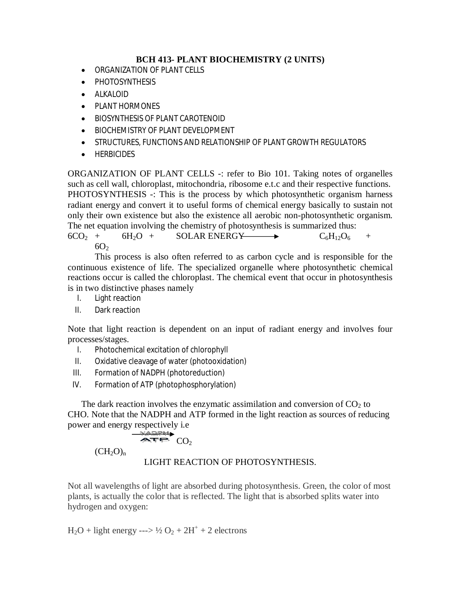# **BCH 413- PLANT BIOCHEMISTRY (2 UNITS)**

- ORGANIZATION OF PLANT CELLS
- PHOTOSYNTHESIS
- $\bullet$  ALKALOID
- PLANT HORMONES
- BIOSYNTHESIS OF PLANT CAROTENOID
- **BIOCHEMISTRY OF PLANT DEVELOPMENT**
- **STRUCTURES, FUNCTIONS AND RELATIONSHIP OF PLANT GROWTH REGULATORS**
- **•** HERBICIDES

ORGANIZATION OF PLANT CELLS -: refer to Bio 101. Taking notes of organelles such as cell wall, chloroplast, mitochondria, ribosome e.t.c and their respective functions. PHOTOSYNTHESIS -: This is the process by which photosynthetic organism harness radiant energy and convert it to useful forms of chemical energy basically to sustain not only their own existence but also the existence all aerobic non-photosynthetic organism. The net equation involving the chemistry of photosynthesis is summarized thus:

```
6CO_2 + 6H_2O + SOLAR ENERGY \longrightarrow C_6H_{12}O_6 +
6O<sub>2</sub>
```
This process is also often referred to as carbon cycle and is responsible for the continuous existence of life. The specialized organelle where photosynthetic chemical reactions occur is called the chloroplast. The chemical event that occur in photosynthesis is in two distinctive phases namely

- I. Light reaction
- II. Dark reaction

Note that light reaction is dependent on an input of radiant energy and involves four processes/stages.

- I. Photochemical excitation of chlorophyll
- II. Oxidative cleavage of water (photooxidation)
- III. Formation of NADPH (photoreduction)
- IV. Formation of ATP (photophosphorylation)

The dark reaction involves the enzymatic assimilation and conversion of  $CO<sub>2</sub>$  to CHO. Note that the NADPH and ATP formed in the light reaction as sources of reducing power and energy respectively i.e

$$
\overbrace{\text{APP}}^{\text{MAPPH}} CO_{2}
$$

 $(CH_2O)_n$ 

LIGHT REACTION OF PHOTOSYNTHESIS.

Not all wavelengths of light are absorbed during photosynthesis. Green, the color of most plants, is actually the color that is reflected. The light that is absorbed splits water into hydrogen and oxygen:

 $H_2O$  + light energy --->  $\frac{1}{2}O_2 + 2H^+ + 2$  electrons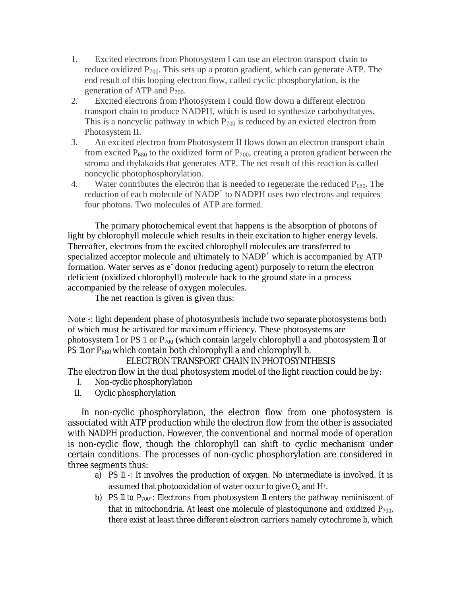- 1. Excited electrons from Photosystem I can use an electron transport chain to reduce oxidized  $P_{700}$ . This sets up a proton gradient, which can generate ATP. The end result of this looping electron flow, called cyclic phosphorylation, is the generation of ATP and  $P_{700}$ .
- 2. Excited electrons from Photosystem I could flow down a different electron transport chain to produce NADPH, which is used to synthesize carbohydratyes. This is a noncyclic pathway in which  $P_{700}$  is reduced by an exicted electron from Photosystem II.
- 3. An excited electron from Photosystem II flows down an electron transport chain from excited  $P_{680}$  to the oxidized form of  $P_{700}$ , creating a proton gradient between the stroma and thylakoids that generates ATP. The net result of this reaction is called noncyclic photophosphorylation.
- 4. Water contributes the electron that is needed to regenerate the reduced  $P_{680}$ . The reduction of each molecule of NADP<sup>+</sup> to NADPH uses two electrons and requires four photons. Two molecules of ATP are formed.

The primary photochemical event that happens is the absorption of photons of light by chlorophyll molecule which results in their excitation to higher energy levels. Thereafter, electrons from the excited chlorophyll molecules are transferred to specialized acceptor molecule and ultimately to  $NADP<sup>+</sup>$  which is accompanied by  $ATP$ formation. Water serves as e<sup>-</sup> donor (reducing agent) purposely to return the electron deficient (oxidized chlorophyll) molecule back to the ground state in a process accompanied by the release of oxygen molecules.

The net reaction is given is given thus:

Note -: light dependent phase of photosynthesis include two separate photosystems both of which must be activated for maximum efficiency. These photosystems are photosystem 1 or PS 1 or  $P_{700}$  (which contain largely chlorophyll a and photosystem 11 or PS 11 or P<sub>680</sub> which contain both chlorophyll a and chlorophyll b.

ELECTRON TRANSPORT CHAIN IN PHOTOSYNTHESIS

The electron flow in the dual photosystem model of the light reaction could be by:

- I. Non-cyclic phosphorylation
- II. Cyclic phosphorylation

In non-cyclic phosphorylation, the electron flow from one photosystem is associated with ATP production while the electron flow from the other is associated with NADPH production. However, the conventional and normal mode of operation is non-cyclic flow, though the chlorophyll can shift to cyclic mechanism under certain conditions. The processes of non-cyclic phosphorylation are considered in three segments thus:

- a) PS 11 -: It involves the production of oxygen. No intermediate is involved. It is assumed that photooxidation of water occur to give  $O_2$  and  $H<sup>+</sup>$ .
- b) PS 11 to  $P_{700}$ -: Electrons from photosystem 11 enters the pathway reminiscent of that in mitochondria. At least one molecule of plastoquinone and oxidized  $P_{700}$ , there exist at least three different electron carriers namely cytochrome b, which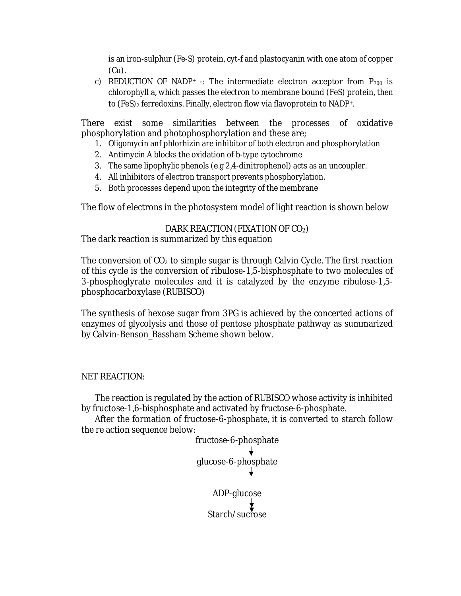is an iron-sulphur (Fe-S) protein, cyt-f and plastocyanin with one atom of copper (Cu).

c) REDUCTION OF NADP+ -: The intermediate electron acceptor from  $P_{700}$  is chlorophyll a, which passes the electron to membrane bound (FeS) protein, then to (FeS)<sub>2</sub> ferredoxins. Finally, electron flow via flavoprotein to NADP+.

There exist some similarities between the processes of oxidative phosphorylation and photophosphorylation and these are;

- 1. Oligomycin anf phlorhizin are inhibitor of both electron and phosphorylation
- 2. Antimycin A blocks the oxidation of b-type cytochrome
- 3. The same lipophylic phenols (e.g 2,4-dinitrophenol) acts as an uncoupler.
- 4. All inhibitors of electron transport prevents phosphorylation.
- 5. Both processes depend upon the integrity of the membrane

The flow of electrons in the photosystem model of light reaction is shown below

# DARK REACTION (FIXATION OF CO2)

The dark reaction is summarized by this equation

The conversion of  $CO<sub>2</sub>$  to simple sugar is through Calvin Cycle. The first reaction of this cycle is the conversion of ribulose-1,5-bisphosphate to two molecules of 3-phosphoglyrate molecules and it is catalyzed by the enzyme ribulose-1,5 phosphocarboxylase (RUBISCO)

The synthesis of hexose sugar from 3PG is achieved by the concerted actions of enzymes of glycolysis and those of pentose phosphate pathway as summarized by Calvin-Benson\_Bassham Scheme shown below.

# NET REACTION:

The reaction is regulated by the action of RUBISCO whose activity is inhibited by fructose-1,6-bisphosphate and activated by fructose-6-phosphate.

After the formation of fructose-6-phosphate, it is converted to starch follow the re action sequence below:

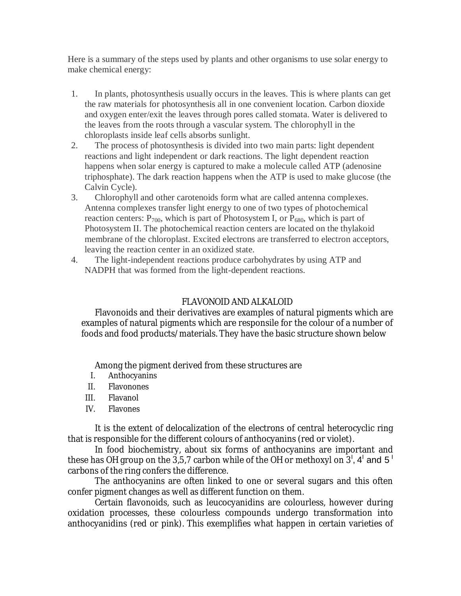Here is a summary of the steps used by plants and other organisms to use solar energy to make chemical energy:

- 1. In plants, photosynthesis usually occurs in the leaves. This is where plants can get the raw materials for photosynthesis all in one convenient location. Carbon dioxide and oxygen enter/exit the leaves through pores called stomata. Water is delivered to the leaves from the roots through a vascular system. The chlorophyll in the chloroplasts inside leaf cells absorbs sunlight.
- 2. The process of photosynthesis is divided into two main parts: light dependent reactions and light independent or dark reactions. The light dependent reaction happens when solar energy is captured to make a molecule called ATP (adenosine triphosphate). The dark reaction happens when the ATP is used to make glucose (the Calvin Cycle).
- 3. Chlorophyll and other carotenoids form what are called antenna complexes. Antenna complexes transfer light energy to one of two types of photochemical reaction centers:  $P_{700}$ , which is part of Photosystem I, or  $P_{680}$ , which is part of Photosystem II. The photochemical reaction centers are located on the thylakoid membrane of the chloroplast. Excited electrons are transferred to electron acceptors, leaving the reaction center in an oxidized state.
- 4. The light-independent reactions produce carbohydrates by using ATP and NADPH that was formed from the light-dependent reactions.

# FLAVONOID AND ALKALOID

Flavonoids and their derivatives are examples of natural pigments which are examples of natural pigments which are responsile for the colour of a number of foods and food products/materials. They have the basic structure shown below

Among the pigment derived from these structures are

- I. Anthocyanins
- II. Flavonones
- III. Flavanol
- IV. Flavones

It is the extent of delocalization of the electrons of central heterocyclic ring that is responsible for the different colours of anthocyanins (red or violet).

In food biochemistry, about six forms of anthocyanins are important and these has OH group on the 3,5,7 carbon while of the OH or methoxyl on  $3^{\mathsf{l}},$  4 $^{\mathsf{l}}$  and 5  $^{\mathsf{l}}$ carbons of the ring confers the difference.

The anthocyanins are often linked to one or several sugars and this often confer pigment changes as well as different function on them.

Certain flavonoids, such as leucocyanidins are colourless, however during oxidation processes, these colourless compounds undergo transformation into anthocyanidins (red or pink). This exemplifies what happen in certain varieties of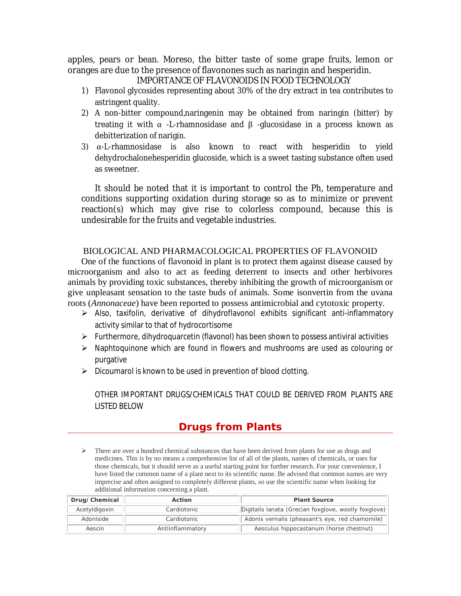apples, pears or bean. Moreso, the bitter taste of some grape fruits, lemon or oranges are due to the presence of flavonones such as naringin and hesperidin.

IMPORTANCE OF FLAVONOIDS IN FOOD TECHNOLOGY

- 1) Flavonol glycosides representing about 30% of the dry extract in tea contributes to astringent quality.
- 2) A non-bitter compound,naringenin may be obtained from naringin (bitter) by treating it with  $\alpha$  -L-rhamnosidase and  $\beta$  -glucosidase in a process known as debitterization of narigin.
- 3)  $\alpha$ -L-rhamnosidase is also known to react with hesperidin to yield dehydrochalonehesperidin glucoside, which is a sweet tasting substance often used as sweetner.

It should be noted that it is important to control the Ph, temperature and conditions supporting oxidation during storage so as to minimize or prevent reaction(s) which may give rise to colorless compound, because this is undesirable for the fruits and vegetable industries.

#### BIOLOGICAL AND PHARMACOLOGICAL PROPERTIES OF FLAVONOID

One of the functions of flavonoid in plant is to protect them against disease caused by microorganism and also to act as feeding deterrent to insects and other herbivores animals by providing toxic substances, thereby inhibiting the growth of microorganism or give unpleasant sensation to the taste buds of animals. Some isonvertin from the uvana roots (*Annonaceae*) have been reported to possess antimicrobial and cytotoxic property.

- Also, taxifolin, derivative of dihydroflavonol exhibits significant anti-inflammatory activity similar to that of hydrocortisome
- $\triangleright$  Furthermore, dihydroquarcetin (flavonol) has been shown to possess antiviral activities
- $\triangleright$  Naphtoquinone which are found in flowers and mushrooms are used as colouring or purgative
- $\triangleright$  Dicoumarol is known to be used in prevention of blood clotting.

OTHER IMPORTANT DRUGS/CHEMICALS THAT COULD BE DERIVED FROM PLANTS ARE LISTED BELOW

# **Drugs from Plants**

 $\triangleright$  There are over a hundred chemical substances that have been derived from plants for use as drugs and medicines. This is by no means a comprehensive list of all of the plants, names of chemicals, or uses for those chemicals, but it should serve as a useful starting point for further research. For your convenience, I have listed the common name of a plant next to its scientific name. Be advised that common names are very imprecise and often assigned to completely different plants, so use the scientific name when looking for additional information concerning a plant.

| Drug/Chemical | Action           | <b>Plant Source</b>                                  |
|---------------|------------------|------------------------------------------------------|
| Acetyldigoxin | Cardiotonic      | Digitalis lanata (Grecian foxglove, woolly foxglove) |
| Adoniside     | Cardiotonic      | Adonis vernalis (pheasant's eye, red chamomile)      |
| Aescin        | Antiinflammatory | Aesculus hippocastanum (horse chestnut)              |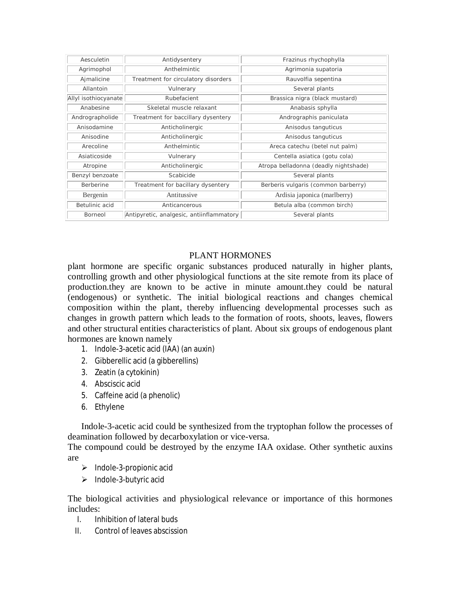| Aesculetin           | Antidysentery                            | Frazinus rhychophylla                 |
|----------------------|------------------------------------------|---------------------------------------|
| Agrimophol           | Anthelmintic                             | Agrimonia supatoria                   |
| Ajmalicine           | Treatment for circulatory disorders      | Rauvolfia sepentina                   |
| Allantoin            | Vulnerary                                | Several plants                        |
| Allyl isothiocyanate | Rubefacient                              | Brassica nigra (black mustard)        |
| Anabesine            | Skeletal muscle relaxant                 | Anabasis sphylla                      |
| Andrographolide      | Treatment for baccillary dysentery       | Andrographis paniculata               |
| Anisodamine          | Anticholinergic                          | Anisodus tanguticus                   |
| Anisodine            | Anticholinergic                          | Anisodus tanguticus                   |
| Arecoline            | Anthelmintic                             | Areca catechu (betel nut palm)        |
| Asiaticoside         | Vulnerary                                | Centella asiatica (gotu cola)         |
| Atropine             | Anticholinergic                          | Atropa belladonna (deadly nightshade) |
| Benzyl benzoate      | Scabicide                                | Several plants                        |
| Berberine            | Treatment for bacillary dysentery        | Berberis vulgaris (common barberry)   |
| Bergenin             | Antitussive                              | Ardisia japonica (marlberry)          |
| Betulinic acid       | Anticancerous                            | Betula alba (common birch)            |
| <b>Borneol</b>       | Antipyretic, analgesic, antiinflammatory | Several plants                        |

### PLANT HORMONES

plant hormone are specific organic substances produced naturally in higher plants, controlling growth and other physiological functions at the site remote from its place of production.they are known to be active in minute amount.they could be natural (endogenous) or synthetic. The initial biological reactions and changes chemical composition within the plant, thereby influencing developmental processes such as changes in growth pattern which leads to the formation of roots, shoots, leaves, flowers and other structural entities characteristics of plant. About six groups of endogenous plant hormones are known namely

- 1. Indole-3-acetic acid (IAA) (an auxin)
- 2. Gibberellic acid (a gibberellins)
- 3. Zeatin (a cytokinin)
- 4. Absciscic acid
- 5. Caffeine acid (a phenolic)
- 6. Ethylene

Indole-3-acetic acid could be synthesized from the tryptophan follow the processes of deamination followed by decarboxylation or vice-versa.

The compound could be destroyed by the enzyme IAA oxidase. Other synthetic auxins are

- $\triangleright$  Indole-3-propionic acid
- $\triangleright$  Indole-3-butyric acid

The biological activities and physiological relevance or importance of this hormones includes:

- I. Inhibition of lateral buds
- II. Control of leaves abscission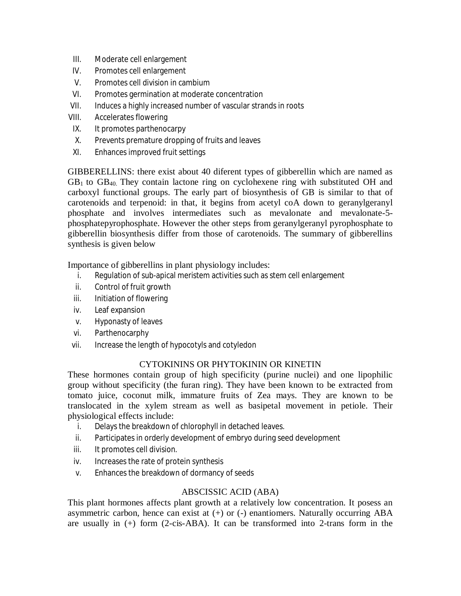- III. Moderate cell enlargement
- IV. Promotes cell enlargement
- V. Promotes cell division in cambium
- VI. Promotes germination at moderate concentration
- VII. Induces a highly increased number of vascular strands in roots
- VIII. Accelerates flowering
- IX. It promotes parthenocarpy
- X. Prevents premature dropping of fruits and leaves
- XI. Enhances improved fruit settings

GIBBERELLINS: there exist about 40 diferent types of gibberellin which are named as  $GB<sub>1</sub>$  to  $GB<sub>40</sub>$ . They contain lactone ring on cyclohexene ring with substituted OH and carboxyl functional groups. The early part of biosynthesis of GB is similar to that of carotenoids and terpenoid: in that, it begins from acetyl coA down to geranylgeranyl phosphate and involves intermediates such as mevalonate and mevalonate-5 phosphatepyrophosphate. However the other steps from geranylgeranyl pyrophosphate to gibberellin biosynthesis differ from those of carotenoids. The summary of gibberellins synthesis is given below

Importance of gibberellins in plant physiology includes:

- i. Regulation of sub-apical meristem activities such as stem cell enlargement
- ii. Control of fruit growth
- iii. Initiation of flowering
- iv. Leaf expansion
- v. Hyponasty of leaves
- vi. Parthenocarphy
- vii. Increase the length of hypocotyls and cotyledon

# CYTOKININS OR PHYTOKININ OR KINETIN

These hormones contain group of high specificity (purine nuclei) and one lipophilic group without specificity (the furan ring). They have been known to be extracted from tomato juice, coconut milk, immature fruits of Zea mays. They are known to be translocated in the xylem stream as well as basipetal movement in petiole. Their physiological effects include:

- i. Delays the breakdown of chlorophyll in detached leaves.
- ii. Participates in orderly development of embryo during seed development
- iii. It promotes cell division.
- iv. Increases the rate of protein synthesis
- v. Enhances the breakdown of dormancy of seeds

# ABSCISSIC ACID (ABA)

This plant hormones affects plant growth at a relatively low concentration. It posess an asymmetric carbon, hence can exist at (+) or (-) enantiomers. Naturally occurring ABA are usually in (+) form (2-cis-ABA). It can be transformed into 2-trans form in the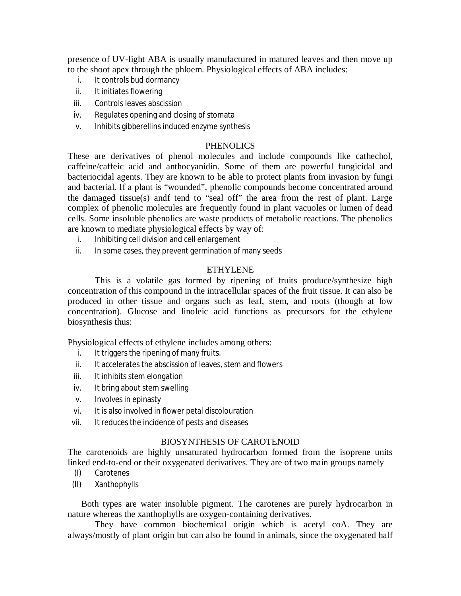presence of UV-light ABA is usually manufactured in matured leaves and then move up to the shoot apex through the phloem. Physiological effects of ABA includes:

- i. It controls bud dormancy
- ii. It initiates flowering
- iii. Controls leaves abscission
- iv. Regulates opening and closing of stomata
- v. Inhibits gibberellins induced enzyme synthesis

#### PHENOLICS

These are derivatives of phenol molecules and include compounds like cathechol, caffeine/caffeic acid and anthocyanidin. Some of them are powerful fungicidal and bacteriocidal agents. They are known to be able to protect plants from invasion by fungi and bacterial. If a plant is "wounded", phenolic compounds become concentrated around the damaged tissue(s) andf tend to "seal off" the area from the rest of plant. Large complex of phenolic molecules are frequently found in plant vacuoles or lumen of dead cells. Some insoluble phenolics are waste products of metabolic reactions. The phenolics are known to mediate physiological effects by way of:

- i. Inhibiting cell division and cell enlargement
- ii. In some cases, they prevent germination of many seeds

#### ETHYLENE

This is a volatile gas formed by ripening of fruits produce/synthesize high concentration of this compound in the intracellular spaces of the fruit tissue. It can also be produced in other tissue and organs such as leaf, stem, and roots (though at low concentration). Glucose and linoleic acid functions as precursors for the ethylene biosynthesis thus:

Physiological effects of ethylene includes among others:

- i. It triggers the ripening of many fruits.
- ii. It accelerates the abscission of leaves, stem and flowers
- iii. It inhibits stem elongation
- iv. It bring about stem swelling
- v. Involves in epinasty
- vi. It is also involved in flower petal discolouration
- vii. It reduces the incidence of pests and diseases

#### BIOSYNTHESIS OF CAROTENOID

The carotenoids are highly unsaturated hydrocarbon formed from the isoprene units linked end-to-end or their oxygenated derivatives. They are of two main groups namely

- (I) Carotenes
- (II) Xanthophylls

Both types are water insoluble pigment. The carotenes are purely hydrocarbon in nature whereas the xanthophylls are oxygen-containing derivatives.

They have common biochemical origin which is acetyl coA. They are always/mostly of plant origin but can also be found in animals, since the oxygenated half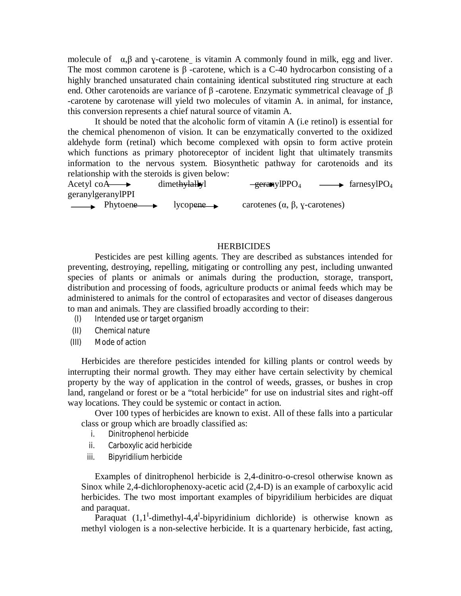molecule of  $\alpha$ ,  $\beta$  and y-carotene is vitamin A commonly found in milk, egg and liver. The most common carotene is  $\beta$ -carotene, which is a C-40 hydrocarbon consisting of a highly branched unsaturated chain containing identical substituted ring structure at each end. Other carotenoids are variance of  $\beta$ -carotene. Enzymatic symmetrical cleavage of  $\beta$ -carotene by carotenase will yield two molecules of vitamin A. in animal, for instance, this conversion represents a chief natural source of vitamin A.

It should be noted that the alcoholic form of vitamin A (i.e retinol) is essential for the chemical phenomenon of vision. It can be enzymatically converted to the oxidized aldehyde form (retinal) which become complexed with opsin to form active protein which functions as primary photoreceptor of incident light that ultimately transmits information to the nervous system. Biosynthetic pathway for carotenoids and its relationship with the steroids is given below:

Acetyl coA  $\longrightarrow$  dimethylallyl  $\longrightarrow$   $\longrightarrow$  farnesylPO<sub>4</sub>  $\longrightarrow$  farnesylPO<sub>4</sub> geranylgeranylPPI  $\longrightarrow$  Phytoene  $\longrightarrow$  lycopene carotenes ( $\alpha$ ,  $\beta$ ,  $\gamma$ -carotenes)

#### **HERBICIDES**

Pesticides are pest killing agents. They are described as substances intended for preventing, destroying, repelling, mitigating or controlling any pest, including unwanted species of plants or animals or animals during the production, storage, transport, distribution and processing of foods, agriculture products or animal feeds which may be administered to animals for the control of ectoparasites and vector of diseases dangerous to man and animals. They are classified broadly according to their:

- (I) Intended use or target organism
- (II) Chemical nature
- (III) Mode of action

Herbicides are therefore pesticides intended for killing plants or control weeds by interrupting their normal growth. They may either have certain selectivity by chemical property by the way of application in the control of weeds, grasses, or bushes in crop land, rangeland or forest or be a "total herbicide" for use on industrial sites and right-off way locations. They could be systemic or contact in action.

Over 100 types of herbicides are known to exist. All of these falls into a particular class or group which are broadly classified as:

- i. Dinitrophenol herbicide
- ii. Carboxylic acid herbicide
- iii. Bipyridilium herbicide

Examples of dinitrophenol herbicide is 2,4-dinitro-o-cresol otherwise known as Sinox while 2,4-dichlorophenoxy-acetic acid (2,4-D) is an example of carboxylic acid herbicides. The two most important examples of bipyridilium herbicides are diquat and paraquat.

Paraquat  $(1, 1^1$ -dimethyl-4,4<sup>I</sup>-bipyridinium dichloride) is otherwise known as methyl viologen is a non-selective herbicide. It is a quartenary herbicide, fast acting,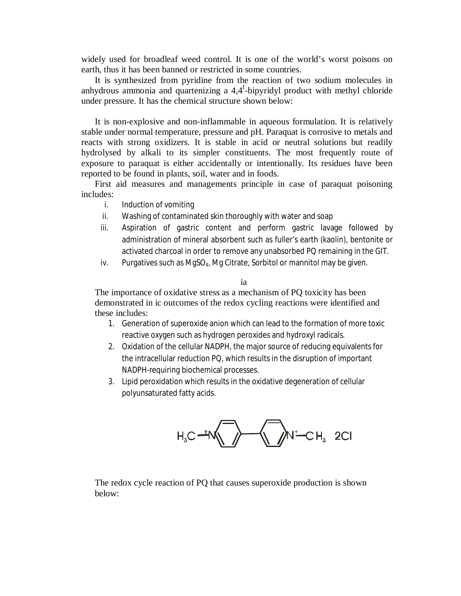widely used for broadleaf weed control. It is one of the world's worst poisons on earth, thus it has been banned or restricted in some countries.

It is synthesized from pyridine from the reaction of two sodium molecules in anhydrous ammonia and quartenizing a  $4.4<sup>I</sup>$ -bipyridyl product with methyl chloride under pressure. It has the chemical structure shown below:

It is non-explosive and non-inflammable in aqueous formulation. It is relatively stable under normal temperature, pressure and pH. Paraquat is corrosive to metals and reacts with strong oxidizers. It is stable in acid or neutral solutions but readily hydrolysed by alkali to its simpler constituents. The most frequently route of exposure to paraquat is either accidentally or intentionally. Its residues have been reported to be found in plants, soil, water and in foods.

First aid measures and managements principle in case of paraquat poisoning includes:

- i. Induction of vomiting
- ii. Washing of contaminated skin thoroughly with water and soap
- iii. Aspiration of gastric content and perform gastric lavage followed by administration of mineral absorbent such as fuller's earth (kaolin), bentonite or activated charcoal in order to remove any unabsorbed PQ remaining in the GIT.
- iv. Purgatives such as MgSO<sub>4</sub>, Mg Citrate, Sorbitol or mannitol may be given.

ia

The importance of oxidative stress as a mechanism of PQ toxicity has been demonstrated in ic outcomes of the redox cycling reactions were identified and these includes:

- 1. Generation of superoxide anion which can lead to the formation of more toxic reactive oxygen such as hydrogen peroxides and hydroxyl radicals.
- 2. Oxidation of the cellular NADPH, the major source of reducing equivalents for the intracellular reduction PQ, which results in the disruption of important NADPH-requiring biochemical processes.
- 3. Lipid peroxidation which results in the oxidative degeneration of cellular polyunsaturated fatty acids.



The redox cycle reaction of PQ that causes superoxide production is shown below: